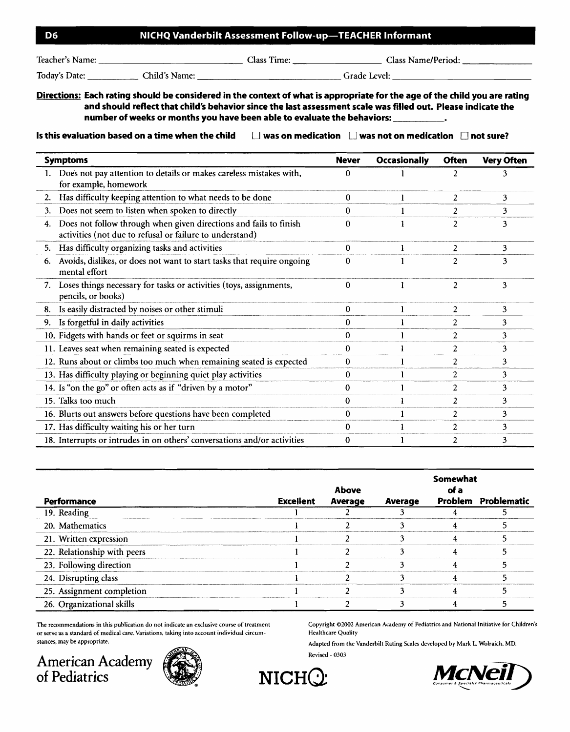## **06 NICHQ Vanderbilt Assessment Follow-up-TEACHER Informant**

Teacher's Name: Class Time: Class Name/Period: \_

Today's Date: \_\_\_\_\_\_\_\_\_\_\_\_\_\_ Child's Name: \_\_\_\_\_\_\_\_\_\_\_\_\_\_\_\_\_\_\_\_\_\_\_\_\_\_\_\_\_\_\_\_\_Grade Level: \_\_\_\_\_\_\_\_\_\_\_\_\_\_\_\_\_\_\_\_\_

**Directions: Each rating should be considered in the context of what is appropriate for the age of the child you are rating and should reflect that child's behavior since the last assessment scale was filled out. Please indicate the number of weeks or months you have been able to evaluate the behaviors:** \_

**Is this evaluation based on a time when the child**  $\Box$  **was on medication**  $\Box$  **was not on medication**  $\Box$  **not sure?** 

| <b>Symptoms</b>                                                                                                                     | <b>Never</b> | Occasionally | <b>Often</b>   | <b>Very Often</b> |
|-------------------------------------------------------------------------------------------------------------------------------------|--------------|--------------|----------------|-------------------|
| 1. Does not pay attention to details or makes careless mistakes with,<br>for example, homework                                      | 0            |              | 2              |                   |
| Has difficulty keeping attention to what needs to be done<br>2.                                                                     | 0            |              | $\overline{2}$ | 3                 |
| Does not seem to listen when spoken to directly<br>3.                                                                               | 0            |              | $\overline{2}$ | 3                 |
| Does not follow through when given directions and fails to finish<br>4.<br>activities (not due to refusal or failure to understand) | 0            |              | $\overline{c}$ | 3                 |
| Has difficulty organizing tasks and activities<br>5.                                                                                | 0            |              | 2              | 3                 |
| Avoids, dislikes, or does not want to start tasks that require ongoing<br>6.<br>mental effort                                       | 0            |              | $\overline{2}$ | 3                 |
| 7. Loses things necessary for tasks or activities (toys, assignments,<br>pencils, or books)                                         | 0            |              | $\overline{c}$ | 3                 |
| 8. Is easily distracted by noises or other stimuli                                                                                  | $\bf{0}$     | 1            | $\overline{2}$ | 3                 |
| 9. Is forgetful in daily activities                                                                                                 | 0            |              | 2              | 3                 |
| 10. Fidgets with hands or feet or squirms in seat                                                                                   | 0            |              | 2              | 3                 |
| 11. Leaves seat when remaining seated is expected                                                                                   | 0            |              | $\overline{2}$ | 3                 |
| 12. Runs about or climbs too much when remaining seated is expected                                                                 | 0            |              | 2              | 3                 |
| 13. Has difficulty playing or beginning quiet play activities                                                                       | 0            |              | $\overline{c}$ | 3                 |
| 14. Is "on the go" or often acts as if "driven by a motor"                                                                          | 0            |              | $\overline{c}$ | 3                 |
| 15. Talks too much                                                                                                                  | 0            |              | 2              | 3                 |
| 16. Blurts out answers before questions have been completed                                                                         | 0            |              | 2              | 3                 |
| 17. Has difficulty waiting his or her turn                                                                                          | 0            |              | 2              | 3                 |
| 18. Interrupts or intrudes in on others' conversations and/or activities                                                            | 0            |              | $\overline{c}$ | 3                 |

|                             |           | <b>Above</b> |         | Somewhat |                     |
|-----------------------------|-----------|--------------|---------|----------|---------------------|
| Performance                 | Excellent | Average      | Average |          | Problem Problematic |
| 19. Reading                 |           |              |         |          |                     |
| 20. Mathematics             |           |              |         |          |                     |
| 21. Written expression      |           |              |         |          |                     |
| 22. Relationship with peers |           |              |         |          |                     |
| 23. Following direction     |           |              |         |          |                     |
| 24. Disrupting class        |           |              |         |          |                     |
| 25. Assignment completion   |           |              |         |          |                     |
| 26. Organizational skills   |           |              |         |          |                     |

The recommendations in this publication do not indicate an exclusive course of treatment Copyright ©2002 American Academy of Pediatrics and National Initiative for Children's or serve as a standard of medical care. Variations, taking into account individual circum-<br>
Healthcare Quality stances, may be appropriate. Adapted from the Vanderbilt Rating Scales developed by Mark L. Wolraich, MD. into account individual circum-<br>Adapter<br>**NICHQ** 

American Academy **Algebra 2003** or serve as a standard of medical care. Variations, taking into a<br>stances, may be appropriate.<br>**American Academy**<br>of Pediatrics